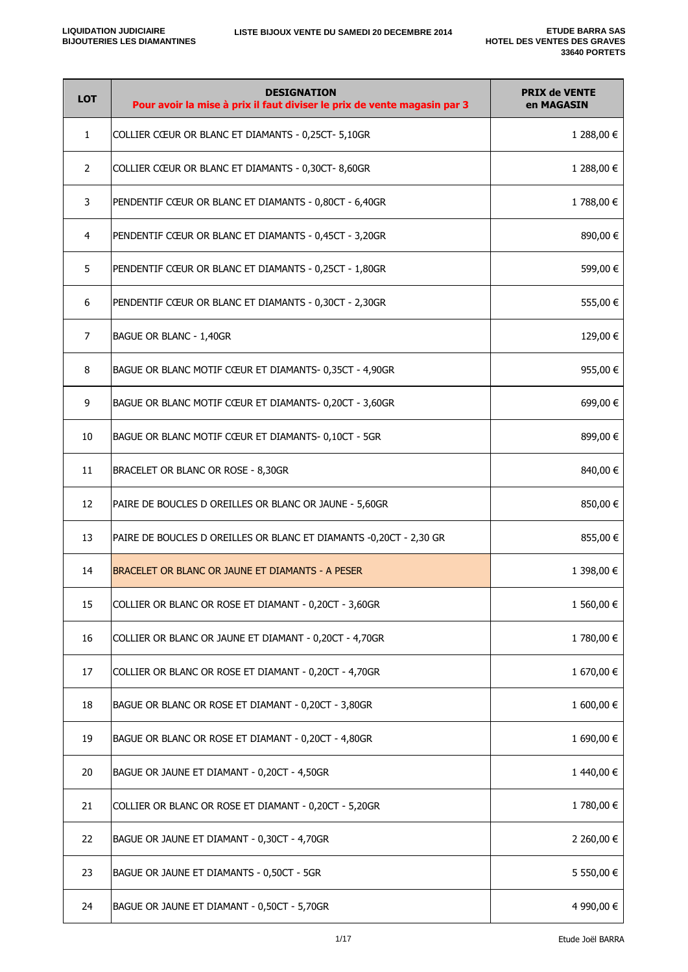| <b>LOT</b>            | <b>DESIGNATION</b><br>Pour avoir la mise à prix il faut diviser le prix de vente magasin par 3 | <b>PRIX de VENTE</b><br>en MAGASIN |
|-----------------------|------------------------------------------------------------------------------------------------|------------------------------------|
| $\mathbf{1}$          | COLLIER CŒUR OR BLANC ET DIAMANTS - 0,25CT- 5,10GR                                             | 1 288,00 €                         |
| $\mathbf{2}^{\prime}$ | COLLIER CŒUR OR BLANC ET DIAMANTS - 0,30CT-8,60GR                                              | 1 288,00 €                         |
| 3                     | PENDENTIF CŒUR OR BLANC ET DIAMANTS - 0,80CT - 6,40GR                                          | 1788,00 €                          |
| 4                     | PENDENTIF CŒUR OR BLANC ET DIAMANTS - 0,45CT - 3,20GR                                          | 890,00 €                           |
| 5                     | PENDENTIF CŒUR OR BLANC ET DIAMANTS - 0,25CT - 1,80GR                                          | 599,00 €                           |
| 6                     | PENDENTIF CŒUR OR BLANC ET DIAMANTS - 0,30CT - 2,30GR                                          | 555,00€                            |
| 7                     | BAGUE OR BLANC - 1,40GR                                                                        | 129,00 €                           |
| 8                     | BAGUE OR BLANC MOTIF CŒUR ET DIAMANTS- 0,35CT - 4,90GR                                         | 955,00€                            |
| 9                     | BAGUE OR BLANC MOTIF CŒUR ET DIAMANTS- 0,20CT - 3,60GR                                         | 699,00€                            |
| 10                    | BAGUE OR BLANC MOTIF CŒUR ET DIAMANTS-0,10CT - 5GR                                             | 899,00 €                           |
| 11                    | BRACELET OR BLANC OR ROSE - 8,30GR                                                             | 840,00 €                           |
| 12                    | PAIRE DE BOUCLES D OREILLES OR BLANC OR JAUNE - 5,60GR                                         | 850,00€                            |
| 13                    | PAIRE DE BOUCLES D OREILLES OR BLANC ET DIAMANTS -0,20CT - 2,30 GR                             | 855,00 €                           |
| 14                    | BRACELET OR BLANC OR JAUNE ET DIAMANTS - A PESER                                               | 1 398,00 €                         |
| 15                    | COLLIER OR BLANC OR ROSE ET DIAMANT - 0,20CT - 3,60GR                                          | 1 560,00 €                         |
| 16                    | COLLIER OR BLANC OR JAUNE ET DIAMANT - 0,20CT - 4,70GR                                         | 1 780,00 €                         |
| 17                    | COLLIER OR BLANC OR ROSE ET DIAMANT - 0,20CT - 4,70GR                                          | 1 670,00 €                         |
| 18                    | BAGUE OR BLANC OR ROSE ET DIAMANT - 0,20CT - 3,80GR                                            | 1 600,00 €                         |
| 19                    | BAGUE OR BLANC OR ROSE ET DIAMANT - 0,20CT - 4,80GR                                            | 1 690,00 €                         |
| 20                    | BAGUE OR JAUNE ET DIAMANT - 0,20CT - 4,50GR                                                    | 1440,00€                           |
| 21                    | COLLIER OR BLANC OR ROSE ET DIAMANT - 0,20CT - 5,20GR                                          | 1780,00€                           |
| 22                    | BAGUE OR JAUNE ET DIAMANT - 0,30CT - 4,70GR                                                    | 2 260,00 €                         |
| 23                    | BAGUE OR JAUNE ET DIAMANTS - 0,50CT - 5GR                                                      | 5 550,00 €                         |
| 24                    | BAGUE OR JAUNE ET DIAMANT - 0,50CT - 5,70GR                                                    | 4 990,00 €                         |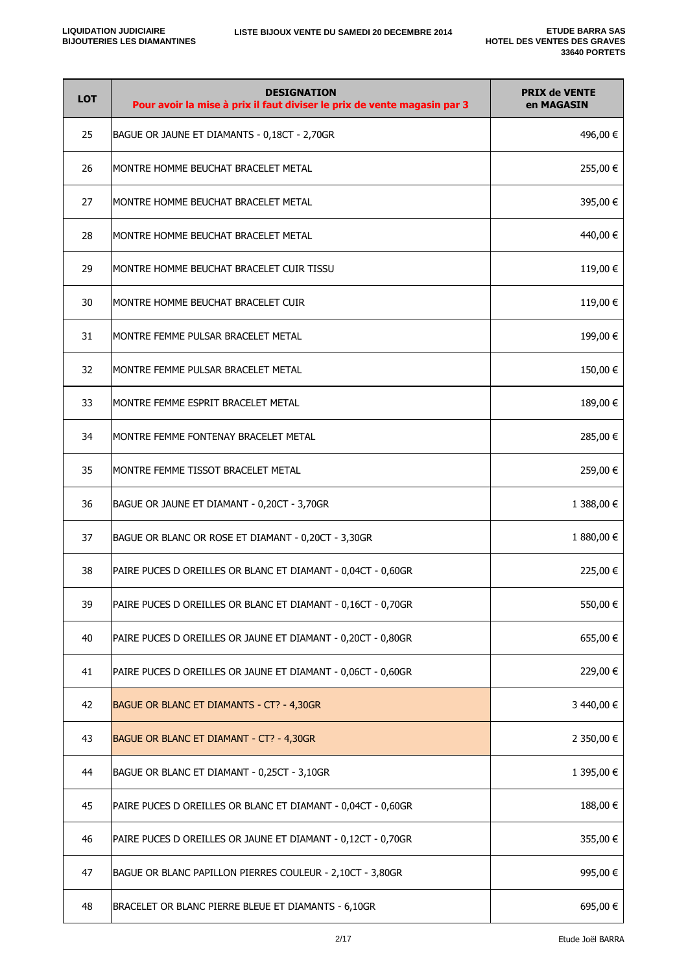| <b>LOT</b> | <b>DESIGNATION</b><br>Pour avoir la mise à prix il faut diviser le prix de vente magasin par 3 | <b>PRIX de VENTE</b><br>en MAGASIN |
|------------|------------------------------------------------------------------------------------------------|------------------------------------|
| 25         | BAGUE OR JAUNE ET DIAMANTS - 0,18CT - 2,70GR                                                   | 496,00 €                           |
| 26         | MONTRE HOMME BEUCHAT BRACELET METAL                                                            | 255,00 €                           |
| 27         | MONTRE HOMME BEUCHAT BRACELET METAL                                                            | 395,00€                            |
| 28         | MONTRE HOMME BEUCHAT BRACELET METAL                                                            | 440,00 €                           |
| 29         | MONTRE HOMME BEUCHAT BRACELET CUIR TISSU                                                       | 119,00 €                           |
| 30         | MONTRE HOMME BEUCHAT BRACELET CUIR                                                             | 119,00 €                           |
| 31         | MONTRE FEMME PULSAR BRACELET METAL                                                             | 199,00 €                           |
| 32         | MONTRE FEMME PULSAR BRACELET METAL                                                             | 150,00 €                           |
| 33         | MONTRE FEMME ESPRIT BRACELET METAL                                                             | 189,00 €                           |
| 34         | MONTRE FEMME FONTENAY BRACELET METAL                                                           | 285,00 €                           |
| 35         | MONTRE FEMME TISSOT BRACELET METAL                                                             | 259,00 €                           |
| 36         | BAGUE OR JAUNE ET DIAMANT - 0,20CT - 3,70GR                                                    | 1 388,00 €                         |
| 37         | BAGUE OR BLANC OR ROSE ET DIAMANT - 0,20CT - 3,30GR                                            | 1 880,00 €                         |
| 38         | PAIRE PUCES D OREILLES OR BLANC ET DIAMANT - 0,04CT - 0,60GR                                   | 225,00 €                           |
| 39         | PAIRE PUCES D OREILLES OR BLANC ET DIAMANT - 0,16CT - 0,70GR                                   | 550,00€                            |
| 40         | PAIRE PUCES D OREILLES OR JAUNE ET DIAMANT - 0,20CT - 0,80GR                                   | 655,00€                            |
| 41         | PAIRE PUCES D OREILLES OR JAUNE ET DIAMANT - 0,06CT - 0,60GR                                   | 229,00 €                           |
| 42         | BAGUE OR BLANC ET DIAMANTS - CT? - 4,30GR                                                      | 3 440,00 €                         |
| 43         | BAGUE OR BLANC ET DIAMANT - CT? - 4,30GR                                                       | 2 350,00 €                         |
| 44         | BAGUE OR BLANC ET DIAMANT - 0,25CT - 3,10GR                                                    | 1 395,00 €                         |
| 45         | PAIRE PUCES D OREILLES OR BLANC ET DIAMANT - 0,04CT - 0,60GR                                   | 188,00 €                           |
| 46         | PAIRE PUCES D OREILLES OR JAUNE ET DIAMANT - 0,12CT - 0,70GR                                   | 355,00€                            |
| 47         | BAGUE OR BLANC PAPILLON PIERRES COULEUR - 2,10CT - 3,80GR                                      | 995,00 €                           |
| 48         | BRACELET OR BLANC PIERRE BLEUE ET DIAMANTS - 6,10GR                                            | 695,00 €                           |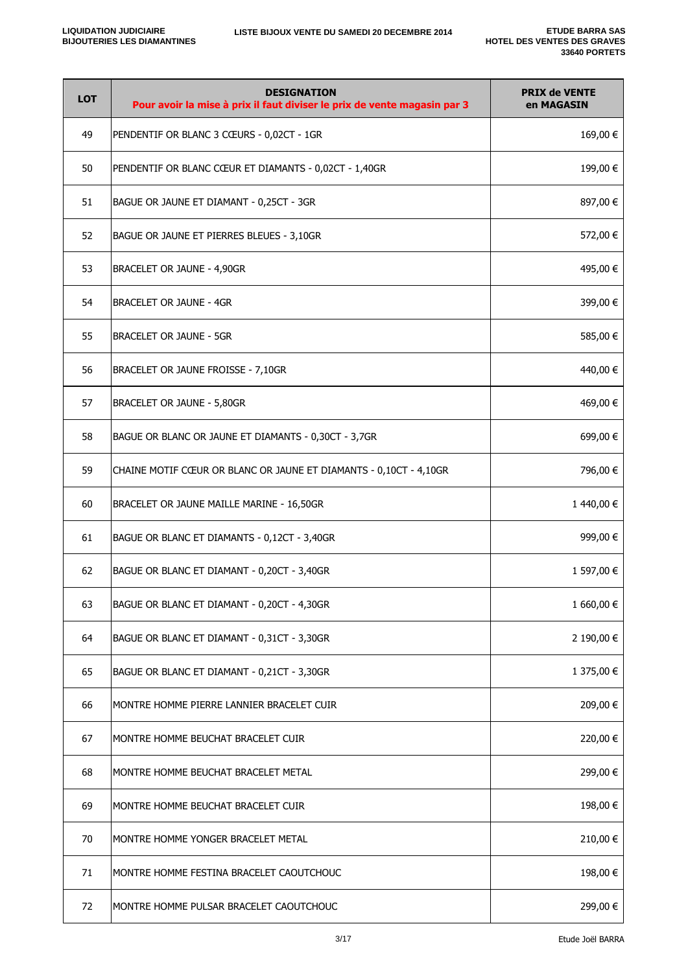| <b>LOT</b> | <b>DESIGNATION</b><br>Pour avoir la mise à prix il faut diviser le prix de vente magasin par 3 | <b>PRIX de VENTE</b><br>en MAGASIN |
|------------|------------------------------------------------------------------------------------------------|------------------------------------|
| 49         | PENDENTIF OR BLANC 3 CŒURS - 0,02CT - 1GR                                                      | 169,00€                            |
| 50         | PENDENTIF OR BLANC CŒUR ET DIAMANTS - 0,02CT - 1,40GR                                          | 199,00 €                           |
| 51         | BAGUE OR JAUNE ET DIAMANT - 0,25CT - 3GR                                                       | 897,00 €                           |
| 52         | BAGUE OR JAUNE ET PIERRES BLEUES - 3,10GR                                                      | 572,00 €                           |
| 53         | BRACELET OR JAUNE - 4,90GR                                                                     | 495,00 €                           |
| 54         | <b>BRACELET OR JAUNE - 4GR</b>                                                                 | 399,00 €                           |
| 55         | BRACELET OR JAUNE - 5GR                                                                        | 585,00 €                           |
| 56         | BRACELET OR JAUNE FROISSE - 7,10GR                                                             | 440,00 €                           |
| 57         | BRACELET OR JAUNE - 5,80GR                                                                     | 469,00 €                           |
| 58         | BAGUE OR BLANC OR JAUNE ET DIAMANTS - 0,30CT - 3,7GR                                           | 699,00 €                           |
| 59         | CHAINE MOTIF CŒUR OR BLANC OR JAUNE ET DIAMANTS - 0,10CT - 4,10GR                              | 796,00 €                           |
| 60         | BRACELET OR JAUNE MAILLE MARINE - 16,50GR                                                      | 1440,00 €                          |
| 61         | BAGUE OR BLANC ET DIAMANTS - 0,12CT - 3,40GR                                                   | 999,00€                            |
| 62         | BAGUE OR BLANC ET DIAMANT - 0,20CT - 3,40GR                                                    | 1 597,00 €                         |
| 63         | BAGUE OR BLANC ET DIAMANT - 0,20CT - 4,30GR                                                    | 1 660,00 €                         |
| 64         | BAGUE OR BLANC ET DIAMANT - 0,31CT - 3,30GR                                                    | 2 190,00 €                         |
| 65         | BAGUE OR BLANC ET DIAMANT - 0,21CT - 3,30GR                                                    | 1 375,00 €                         |
| 66         | MONTRE HOMME PIERRE LANNIER BRACELET CUIR                                                      | 209,00 €                           |
| 67         | MONTRE HOMME BEUCHAT BRACELET CUIR                                                             | 220,00 €                           |
| 68         | MONTRE HOMME BEUCHAT BRACELET METAL                                                            | 299,00 €                           |
| 69         | MONTRE HOMME BEUCHAT BRACELET CUIR                                                             | 198,00 €                           |
| 70         | MONTRE HOMME YONGER BRACELET METAL                                                             | 210,00 €                           |
| 71         | MONTRE HOMME FESTINA BRACELET CAOUTCHOUC                                                       | 198,00 €                           |
| 72         | MONTRE HOMME PULSAR BRACELET CAOUTCHOUC                                                        | 299,00€                            |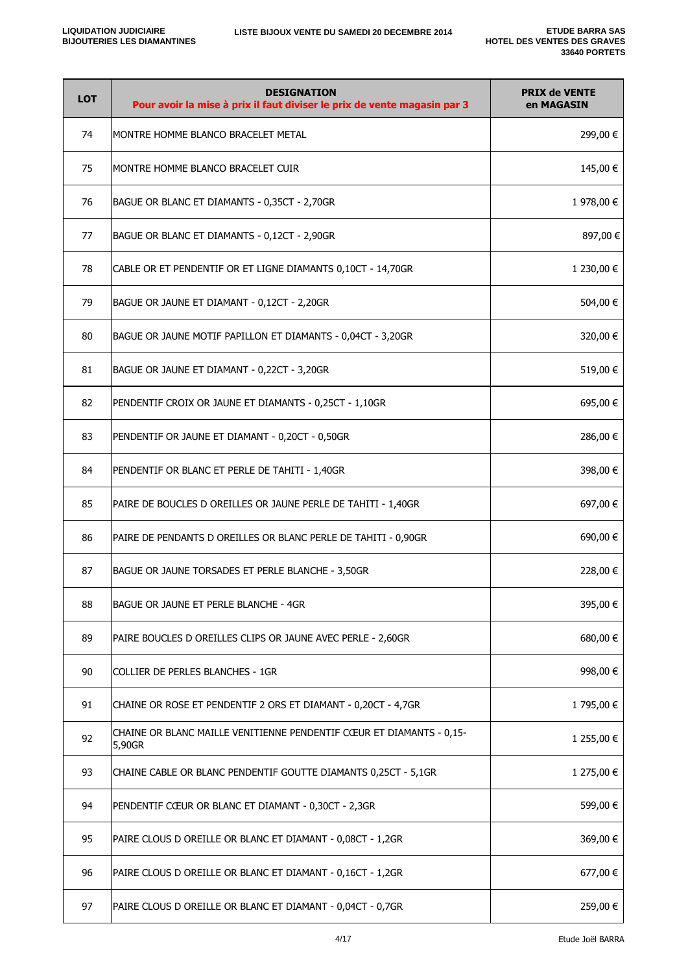| <b>LOT</b> | <b>DESIGNATION</b><br>Pour avoir la mise à prix il faut diviser le prix de vente magasin par 3 | <b>PRIX de VENTE</b><br>en MAGASIN |
|------------|------------------------------------------------------------------------------------------------|------------------------------------|
| 74         | MONTRE HOMME BLANCO BRACELET METAL                                                             | 299,00 €                           |
| 75         | MONTRE HOMME BLANCO BRACELET CUIR                                                              | 145,00 €                           |
| 76         | BAGUE OR BLANC ET DIAMANTS - 0,35CT - 2,70GR                                                   | 1 978,00 €                         |
| 77         | BAGUE OR BLANC ET DIAMANTS - 0,12CT - 2,90GR                                                   | 897,00€                            |
| 78         | CABLE OR ET PENDENTIF OR ET LIGNE DIAMANTS 0,10CT - 14,70GR                                    | 1 230,00 €                         |
| 79         | BAGUE OR JAUNE ET DIAMANT - 0,12CT - 2,20GR                                                    | 504,00 €                           |
| 80         | BAGUE OR JAUNE MOTIF PAPILLON ET DIAMANTS - 0,04CT - 3,20GR                                    | 320,00 €                           |
| 81         | BAGUE OR JAUNE ET DIAMANT - 0,22CT - 3,20GR                                                    | 519,00 €                           |
| 82         | PENDENTIF CROIX OR JAUNE ET DIAMANTS - 0,25CT - 1,10GR                                         | 695,00€                            |
| 83         | PENDENTIF OR JAUNE ET DIAMANT - 0,20CT - 0,50GR                                                | 286,00 €                           |
| 84         | PENDENTIF OR BLANC ET PERLE DE TAHITI - 1,40GR                                                 | 398,00€                            |
| 85         | PAIRE DE BOUCLES D OREILLES OR JAUNE PERLE DE TAHITI - 1,40GR                                  | 697,00 €                           |
| 86         | PAIRE DE PENDANTS D OREILLES OR BLANC PERLE DE TAHITI - 0,90GR                                 | 690,00 €                           |
| 87         | BAGUE OR JAUNE TORSADES ET PERLE BLANCHE - 3,50GR                                              | 228,00 €                           |
| 88         | BAGUE OR JAUNE ET PERLE BLANCHE - 4GR                                                          | 395,00 €                           |
| 89         | PAIRE BOUCLES D OREILLES CLIPS OR JAUNE AVEC PERLE - 2,60GR                                    | 680,00€                            |
| 90         | COLLIER DE PERLES BLANCHES - 1GR                                                               | 998,00€                            |
| 91         | CHAINE OR ROSE ET PENDENTIF 2 ORS ET DIAMANT - 0,20CT - 4,7GR                                  | 1 795,00 €                         |
| 92         | CHAINE OR BLANC MAILLE VENITIENNE PENDENTIF CŒUR ET DIAMANTS - 0,15-<br>5,90GR                 | 1 255,00 €                         |
| 93         | CHAINE CABLE OR BLANC PENDENTIF GOUTTE DIAMANTS 0,25CT - 5,1GR                                 | 1 275,00 €                         |
| 94         | PENDENTIF CŒUR OR BLANC ET DIAMANT - 0,30CT - 2,3GR                                            | 599,00 €                           |
| 95         | PAIRE CLOUS D OREILLE OR BLANC ET DIAMANT - 0,08CT - 1,2GR                                     | 369,00 €                           |
| 96         | PAIRE CLOUS D OREILLE OR BLANC ET DIAMANT - 0,16CT - 1,2GR                                     | 677,00 €                           |
| 97         | PAIRE CLOUS D OREILLE OR BLANC ET DIAMANT - 0,04CT - 0,7GR                                     | 259,00 €                           |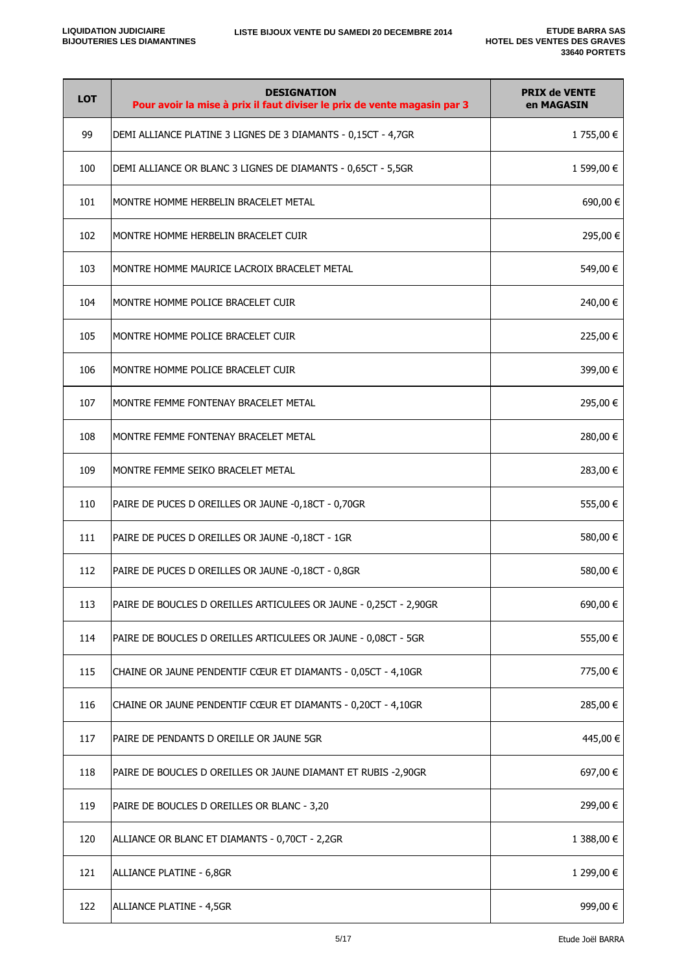| <b>LOT</b> | <b>DESIGNATION</b><br>Pour avoir la mise à prix il faut diviser le prix de vente magasin par 3 | <b>PRIX de VENTE</b><br>en MAGASIN |
|------------|------------------------------------------------------------------------------------------------|------------------------------------|
| 99         | DEMI ALLIANCE PLATINE 3 LIGNES DE 3 DIAMANTS - 0,15CT - 4,7GR                                  | 1 755,00 €                         |
| 100        | DEMI ALLIANCE OR BLANC 3 LIGNES DE DIAMANTS - 0,65CT - 5,5GR                                   | 1 599,00 €                         |
| 101        | MONTRE HOMME HERBELIN BRACELET METAL                                                           | 690,00€                            |
| 102        | MONTRE HOMME HERBELIN BRACELET CUIR                                                            | 295,00€                            |
| 103        | MONTRE HOMME MAURICE LACROIX BRACELET METAL                                                    | 549,00 €                           |
| 104        | MONTRE HOMME POLICE BRACELET CUIR                                                              | 240,00 €                           |
| 105        | MONTRE HOMME POLICE BRACELET CUIR                                                              | 225,00 €                           |
| 106        | MONTRE HOMME POLICE BRACELET CUIR                                                              | 399,00 €                           |
| 107        | MONTRE FEMME FONTENAY BRACELET METAL                                                           | 295,00 €                           |
| 108        | MONTRE FEMME FONTENAY BRACELET METAL                                                           | 280,00 €                           |
| 109        | MONTRE FEMME SEIKO BRACELET METAL                                                              | 283,00 €                           |
| 110        | PAIRE DE PUCES D OREILLES OR JAUNE -0,18CT - 0,70GR                                            | 555,00€                            |
| 111        | PAIRE DE PUCES D OREILLES OR JAUNE -0,18CT - 1GR                                               | 580,00€                            |
| 112        | PAIRE DE PUCES D OREILLES OR JAUNE -0,18CT - 0,8GR                                             | 580,00€                            |
| 113        | PAIRE DE BOUCLES D OREILLES ARTICULEES OR JAUNE - 0,25CT - 2,90GR                              | 690,00€                            |
| 114        | PAIRE DE BOUCLES D OREILLES ARTICULEES OR JAUNE - 0,08CT - 5GR                                 | 555,00€                            |
| 115        | CHAINE OR JAUNE PENDENTIF CŒUR ET DIAMANTS - 0,05CT - 4,10GR                                   | 775,00 €                           |
| 116        | CHAINE OR JAUNE PENDENTIF CŒUR ET DIAMANTS - 0,20CT - 4,10GR                                   | 285,00 €                           |
| 117        | PAIRE DE PENDANTS D OREILLE OR JAUNE 5GR                                                       | 445,00€                            |
| 118        | PAIRE DE BOUCLES D OREILLES OR JAUNE DIAMANT ET RUBIS -2,90GR                                  | 697,00 €                           |
| 119        | PAIRE DE BOUCLES D OREILLES OR BLANC - 3,20                                                    | 299,00 €                           |
| 120        | ALLIANCE OR BLANC ET DIAMANTS - 0,70CT - 2,2GR                                                 | 1 388,00 €                         |
| 121        | ALLIANCE PLATINE - 6,8GR                                                                       | 1 299,00 €                         |
| 122        | ALLIANCE PLATINE - 4,5GR                                                                       | 999,00€                            |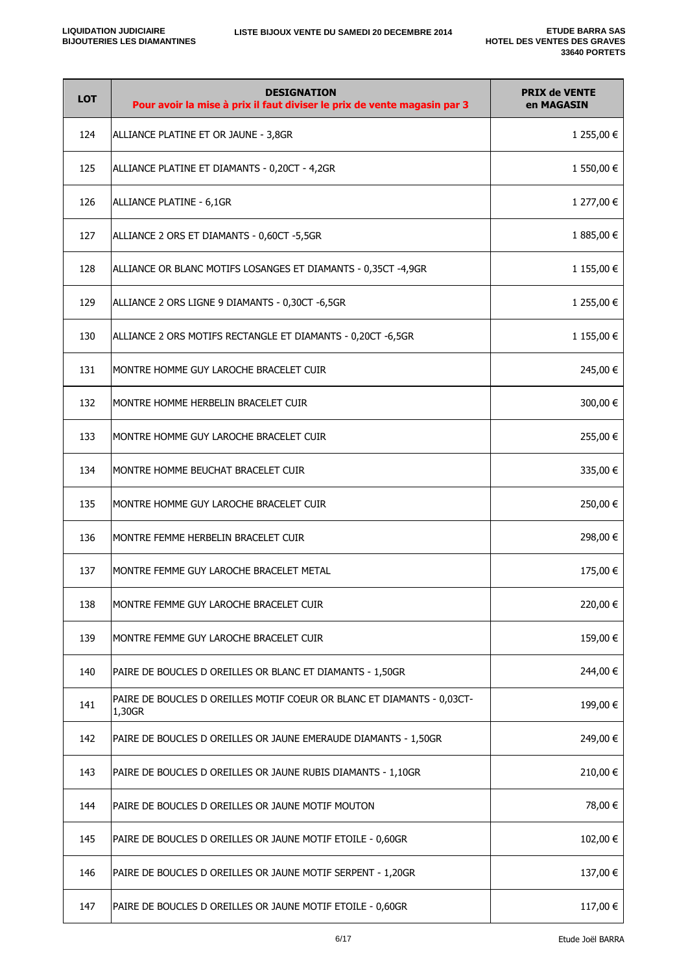| <b>LOT</b> | <b>DESIGNATION</b><br>Pour avoir la mise à prix il faut diviser le prix de vente magasin par 3 | <b>PRIX de VENTE</b><br>en MAGASIN |
|------------|------------------------------------------------------------------------------------------------|------------------------------------|
| 124        | ALLIANCE PLATINE ET OR JAUNE - 3,8GR                                                           | 1 255,00 €                         |
| 125        | ALLIANCE PLATINE ET DIAMANTS - 0,20CT - 4,2GR                                                  | 1 550,00 €                         |
| 126        | ALLIANCE PLATINE - 6,1GR                                                                       | 1 277,00 €                         |
| 127        | ALLIANCE 2 ORS ET DIAMANTS - 0,60CT -5,5GR                                                     | 1 885,00 €                         |
| 128        | ALLIANCE OR BLANC MOTIFS LOSANGES ET DIAMANTS - 0,35CT -4,9GR                                  | 1 155,00 €                         |
| 129        | ALLIANCE 2 ORS LIGNE 9 DIAMANTS - 0,30CT -6,5GR                                                | 1 255,00 €                         |
| 130        | ALLIANCE 2 ORS MOTIFS RECTANGLE ET DIAMANTS - 0,20CT -6,5GR                                    | 1 155,00 €                         |
| 131        | MONTRE HOMME GUY LAROCHE BRACELET CUIR                                                         | 245,00 €                           |
| 132        | MONTRE HOMME HERBELIN BRACELET CUIR                                                            | 300,00 €                           |
| 133        | MONTRE HOMME GUY LAROCHE BRACELET CUIR                                                         | 255,00 €                           |
| 134        | MONTRE HOMME BEUCHAT BRACELET CUIR                                                             | 335,00 €                           |
| 135        | MONTRE HOMME GUY LAROCHE BRACELET CUIR                                                         | 250,00 €                           |
| 136        | MONTRE FEMME HERBELIN BRACELET CUIR                                                            | 298,00 €                           |
| 137        | MONTRE FEMME GUY LAROCHE BRACELET METAL                                                        | 175,00 €                           |
| 138        | MONTRE FEMME GUY LAROCHE BRACELET CUIR                                                         | 220,00 €                           |
| 139        | MONTRE FEMME GUY LAROCHE BRACELET CUIR                                                         | 159,00 €                           |
| 140        | PAIRE DE BOUCLES D OREILLES OR BLANC ET DIAMANTS - 1,50GR                                      | 244,00 €                           |
| 141        | PAIRE DE BOUCLES D OREILLES MOTIF COEUR OR BLANC ET DIAMANTS - 0,03CT-<br>1,30GR               | 199,00€                            |
| 142        | PAIRE DE BOUCLES D OREILLES OR JAUNE EMERAUDE DIAMANTS - 1,50GR                                | 249,00 €                           |
| 143        | PAIRE DE BOUCLES D OREILLES OR JAUNE RUBIS DIAMANTS - 1,10GR                                   | 210,00 €                           |
| 144        | PAIRE DE BOUCLES D OREILLES OR JAUNE MOTIF MOUTON                                              | 78,00 €                            |
| 145        | PAIRE DE BOUCLES D OREILLES OR JAUNE MOTIF ETOILE - 0,60GR                                     | 102,00 €                           |
| 146        | PAIRE DE BOUCLES D OREILLES OR JAUNE MOTIF SERPENT - 1,20GR                                    | 137,00 €                           |
| 147        | PAIRE DE BOUCLES D OREILLES OR JAUNE MOTIF ETOILE - 0,60GR                                     | 117,00 €                           |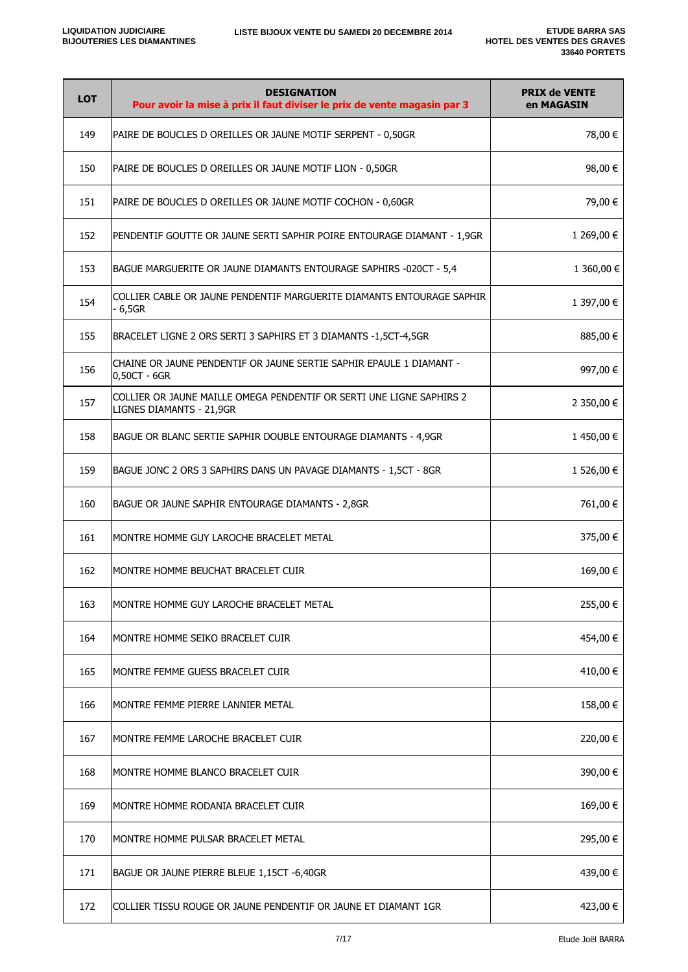| <b>LOT</b> | <b>DESIGNATION</b><br>Pour avoir la mise à prix il faut diviser le prix de vente magasin par 3   | <b>PRIX de VENTE</b><br>en MAGASIN |
|------------|--------------------------------------------------------------------------------------------------|------------------------------------|
| 149        | PAIRE DE BOUCLES D OREILLES OR JAUNE MOTIF SERPENT - 0,50GR                                      | 78,00 €                            |
| 150        | PAIRE DE BOUCLES D OREILLES OR JAUNE MOTIF LION - 0,50GR                                         | 98,00 €                            |
| 151        | PAIRE DE BOUCLES D OREILLES OR JAUNE MOTIF COCHON - 0,60GR                                       | 79,00 €                            |
| 152        | PENDENTIF GOUTTE OR JAUNE SERTI SAPHIR POIRE ENTOURAGE DIAMANT - 1,9GR                           | 1 269,00 €                         |
| 153        | BAGUE MARGUERITE OR JAUNE DIAMANTS ENTOURAGE SAPHIRS -020CT - 5,4                                | 1 360,00 €                         |
| 154        | COLLIER CABLE OR JAUNE PENDENTIF MARGUERITE DIAMANTS ENTOURAGE SAPHIR<br>$-6,5GR$                | 1 397,00 €                         |
| 155        | BRACELET LIGNE 2 ORS SERTI 3 SAPHIRS ET 3 DIAMANTS -1,5CT-4,5GR                                  | 885,00 €                           |
| 156        | CHAINE OR JAUNE PENDENTIF OR JAUNE SERTIE SAPHIR EPAULE 1 DIAMANT -<br>0,50CT - 6GR              | 997,00 €                           |
| 157        | COLLIER OR JAUNE MAILLE OMEGA PENDENTIF OR SERTI UNE LIGNE SAPHIRS 2<br>LIGNES DIAMANTS - 21,9GR | 2 350,00 €                         |
| 158        | BAGUE OR BLANC SERTIE SAPHIR DOUBLE ENTOURAGE DIAMANTS - 4,9GR                                   | 1450,00€                           |
| 159        | BAGUE JONC 2 ORS 3 SAPHIRS DANS UN PAVAGE DIAMANTS - 1,5CT - 8GR                                 | 1 526,00 €                         |
| 160        | BAGUE OR JAUNE SAPHIR ENTOURAGE DIAMANTS - 2,8GR                                                 | 761,00 €                           |
| 161        | MONTRE HOMME GUY LAROCHE BRACELET METAL                                                          | 375,00 €                           |
| 162        | MONTRE HOMME BEUCHAT BRACELET CUIR                                                               | 169,00 €                           |
| 163        | MONTRE HOMME GUY LAROCHE BRACELET METAL                                                          | 255,00€                            |
| 164        | MONTRE HOMME SEIKO BRACELET CUIR                                                                 | 454,00 €                           |
| 165        | MONTRE FEMME GUESS BRACELET CUIR                                                                 | 410,00 €                           |
| 166        | MONTRE FEMME PIERRE LANNIER METAL                                                                | 158,00 €                           |
| 167        | MONTRE FEMME LAROCHE BRACELET CUIR                                                               | 220,00 €                           |
| 168        | MONTRE HOMME BLANCO BRACELET CUIR                                                                | 390,00 €                           |
| 169        | MONTRE HOMME RODANIA BRACELET CUIR                                                               | 169,00€                            |
| 170        | MONTRE HOMME PULSAR BRACELET METAL                                                               | 295,00 €                           |
| 171        | BAGUE OR JAUNE PIERRE BLEUE 1,15CT -6,40GR                                                       | 439,00 €                           |
| 172        | COLLIER TISSU ROUGE OR JAUNE PENDENTIF OR JAUNE ET DIAMANT 1GR                                   | 423,00 €                           |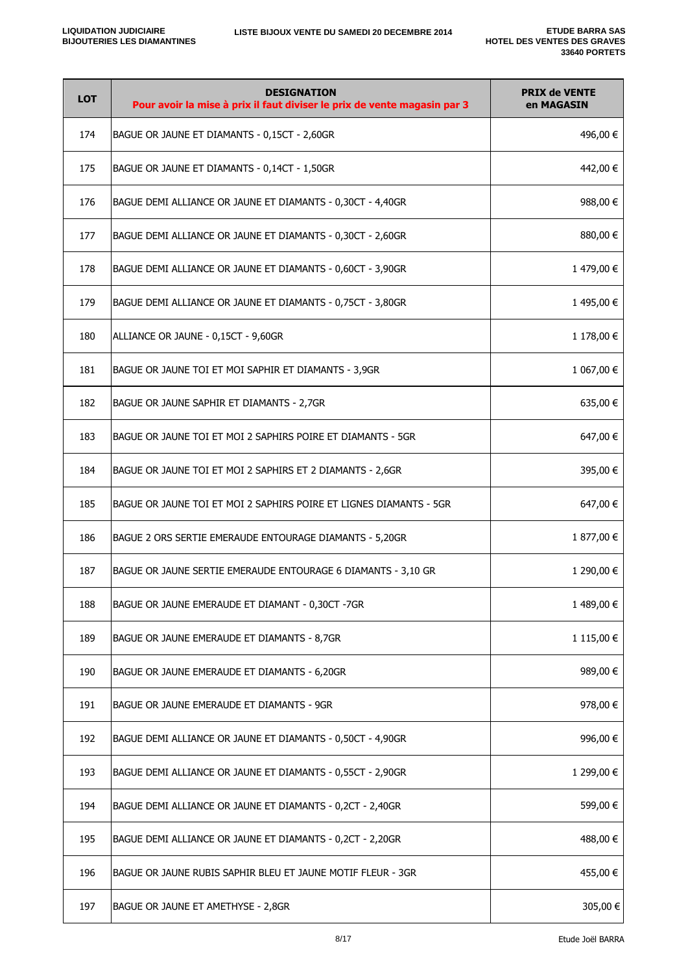| <b>LOT</b> | <b>DESIGNATION</b><br>Pour avoir la mise à prix il faut diviser le prix de vente magasin par 3 | <b>PRIX de VENTE</b><br>en MAGASIN |
|------------|------------------------------------------------------------------------------------------------|------------------------------------|
| 174        | BAGUE OR JAUNE ET DIAMANTS - 0,15CT - 2,60GR                                                   | 496,00 €                           |
| 175        | BAGUE OR JAUNE ET DIAMANTS - 0,14CT - 1,50GR                                                   | 442,00 €                           |
| 176        | BAGUE DEMI ALLIANCE OR JAUNE ET DIAMANTS - 0,30CT - 4,40GR                                     | 988,00 €                           |
| 177        | BAGUE DEMI ALLIANCE OR JAUNE ET DIAMANTS - 0,30CT - 2,60GR                                     | 880,00€                            |
| 178        | BAGUE DEMI ALLIANCE OR JAUNE ET DIAMANTS - 0,60CT - 3,90GR                                     | 1 479,00 €                         |
| 179        | BAGUE DEMI ALLIANCE OR JAUNE ET DIAMANTS - 0,75CT - 3,80GR                                     | 1 495,00 €                         |
| 180        | ALLIANCE OR JAUNE - 0,15CT - 9,60GR                                                            | 1 178,00 €                         |
| 181        | BAGUE OR JAUNE TOI ET MOI SAPHIR ET DIAMANTS - 3,9GR                                           | 1 067,00 €                         |
| 182        | BAGUE OR JAUNE SAPHIR ET DIAMANTS - 2,7GR                                                      | 635,00 €                           |
| 183        | BAGUE OR JAUNE TOI ET MOI 2 SAPHIRS POIRE ET DIAMANTS - 5GR                                    | 647,00 €                           |
| 184        | BAGUE OR JAUNE TOI ET MOI 2 SAPHIRS ET 2 DIAMANTS - 2,6GR                                      | 395,00 €                           |
| 185        | BAGUE OR JAUNE TOI ET MOI 2 SAPHIRS POIRE ET LIGNES DIAMANTS - 5GR                             | 647,00 €                           |
| 186        | BAGUE 2 ORS SERTIE EMERAUDE ENTOURAGE DIAMANTS - 5,20GR                                        | 1 877,00 €                         |
| 187        | BAGUE OR JAUNE SERTIE EMERAUDE ENTOURAGE 6 DIAMANTS - 3,10 GR                                  | 1 290,00 €                         |
| 188        | BAGUE OR JAUNE EMERAUDE ET DIAMANT - 0,30CT -7GR                                               | 1 489,00 €                         |
| 189        | BAGUE OR JAUNE EMERAUDE ET DIAMANTS - 8,7GR                                                    | 1 115,00 €                         |
| 190        | BAGUE OR JAUNE EMERAUDE ET DIAMANTS - 6,20GR                                                   | 989,00 €                           |
| 191        | BAGUE OR JAUNE EMERAUDE ET DIAMANTS - 9GR                                                      | 978,00€                            |
| 192        | BAGUE DEMI ALLIANCE OR JAUNE ET DIAMANTS - 0,50CT - 4,90GR                                     | 996,00€                            |
| 193        | BAGUE DEMI ALLIANCE OR JAUNE ET DIAMANTS - 0,55CT - 2,90GR                                     | 1 299,00 €                         |
| 194        | BAGUE DEMI ALLIANCE OR JAUNE ET DIAMANTS - 0,2CT - 2,40GR                                      | 599,00 €                           |
| 195        | BAGUE DEMI ALLIANCE OR JAUNE ET DIAMANTS - 0,2CT - 2,20GR                                      | 488,00 €                           |
| 196        | BAGUE OR JAUNE RUBIS SAPHIR BLEU ET JAUNE MOTIF FLEUR - 3GR                                    | 455,00 €                           |
| 197        | BAGUE OR JAUNE ET AMETHYSE - 2,8GR                                                             | 305,00€                            |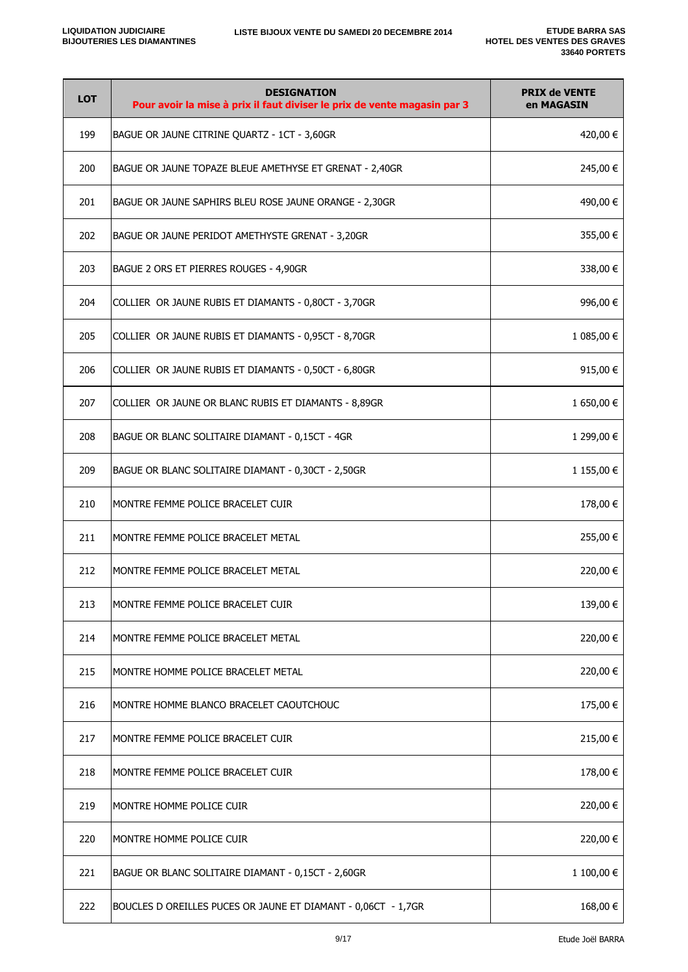| <b>LOT</b> | <b>DESIGNATION</b><br>Pour avoir la mise à prix il faut diviser le prix de vente magasin par 3 | <b>PRIX de VENTE</b><br>en MAGASIN |
|------------|------------------------------------------------------------------------------------------------|------------------------------------|
| 199        | BAGUE OR JAUNE CITRINE QUARTZ - 1CT - 3,60GR                                                   | 420,00 €                           |
| 200        | BAGUE OR JAUNE TOPAZE BLEUE AMETHYSE ET GRENAT - 2,40GR                                        | 245,00 €                           |
| 201        | BAGUE OR JAUNE SAPHIRS BLEU ROSE JAUNE ORANGE - 2,30GR                                         | 490,00 €                           |
| 202        | BAGUE OR JAUNE PERIDOT AMETHYSTE GRENAT - 3,20GR                                               | 355,00 €                           |
| 203        | BAGUE 2 ORS ET PIERRES ROUGES - 4,90GR                                                         | 338,00 €                           |
| 204        | COLLIER OR JAUNE RUBIS ET DIAMANTS - 0,80CT - 3,70GR                                           | 996,00€                            |
| 205        | COLLIER OR JAUNE RUBIS ET DIAMANTS - 0,95CT - 8,70GR                                           | 1 085,00 €                         |
| 206        | COLLIER OR JAUNE RUBIS ET DIAMANTS - 0,50CT - 6,80GR                                           | 915,00 €                           |
| 207        | COLLIER OR JAUNE OR BLANC RUBIS ET DIAMANTS - 8,89GR                                           | 1 650,00 €                         |
| 208        | BAGUE OR BLANC SOLITAIRE DIAMANT - 0,15CT - 4GR                                                | 1 299,00 €                         |
| 209        | BAGUE OR BLANC SOLITAIRE DIAMANT - 0,30CT - 2,50GR                                             | 1 155,00 €                         |
| 210        | MONTRE FEMME POLICE BRACELET CUIR                                                              | 178,00 €                           |
| 211        | MONTRE FEMME POLICE BRACELET METAL                                                             | 255,00 €                           |
| 212        | MONTRE FEMME POLICE BRACELET METAL                                                             | 220,00 €                           |
| 213        | MONTRE FEMME POLICE BRACELET CUIR                                                              | 139,00 €                           |
| 214        | MONTRE FEMME POLICE BRACELET METAL                                                             | 220,00 €                           |
| 215        | MONTRE HOMME POLICE BRACELET METAL                                                             | 220,00 €                           |
| 216        | MONTRE HOMME BLANCO BRACELET CAOUTCHOUC                                                        | 175,00 €                           |
| 217        | MONTRE FEMME POLICE BRACELET CUIR                                                              | 215,00 €                           |
| 218        | MONTRE FEMME POLICE BRACELET CUIR                                                              | 178,00 €                           |
| 219        | MONTRE HOMME POLICE CUIR                                                                       | 220,00 €                           |
| 220        | MONTRE HOMME POLICE CUIR                                                                       | 220,00 €                           |
| 221        | BAGUE OR BLANC SOLITAIRE DIAMANT - 0,15CT - 2,60GR                                             | 1 100,00 €                         |
| 222        | BOUCLES D OREILLES PUCES OR JAUNE ET DIAMANT - 0,06CT - 1,7GR                                  | 168,00€                            |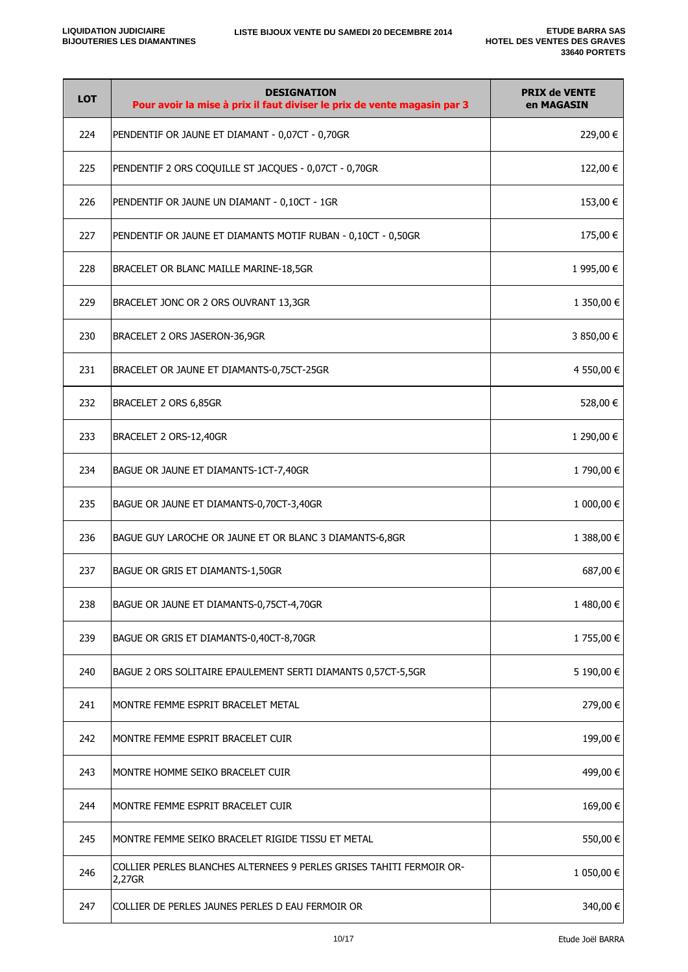| <b>LOT</b> | <b>DESIGNATION</b><br>Pour avoir la mise à prix il faut diviser le prix de vente magasin par 3 | <b>PRIX de VENTE</b><br>en MAGASIN |
|------------|------------------------------------------------------------------------------------------------|------------------------------------|
| 224        | PENDENTIF OR JAUNE ET DIAMANT - 0,07CT - 0,70GR                                                | 229,00 €                           |
| 225        | PENDENTIF 2 ORS COQUILLE ST JACQUES - 0,07CT - 0,70GR                                          | 122,00 €                           |
| 226        | PENDENTIF OR JAUNE UN DIAMANT - 0,10CT - 1GR                                                   | 153,00 €                           |
| 227        | PENDENTIF OR JAUNE ET DIAMANTS MOTIF RUBAN - 0,10CT - 0,50GR                                   | 175,00 €                           |
| 228        | BRACELET OR BLANC MAILLE MARINE-18,5GR                                                         | 1 995,00 €                         |
| 229        | BRACELET JONC OR 2 ORS OUVRANT 13,3GR                                                          | 1 350,00 €                         |
| 230        | BRACELET 2 ORS JASERON-36,9GR                                                                  | 3 850,00 €                         |
| 231        | BRACELET OR JAUNE ET DIAMANTS-0,75CT-25GR                                                      | 4 550,00 €                         |
| 232        | BRACELET 2 ORS 6,85GR                                                                          | 528,00 €                           |
| 233        | BRACELET 2 ORS-12,40GR                                                                         | 1 290,00 €                         |
| 234        | BAGUE OR JAUNE ET DIAMANTS-1CT-7,40GR                                                          | 1 790,00 €                         |
| 235        | BAGUE OR JAUNE ET DIAMANTS-0,70CT-3,40GR                                                       | 1 000,00 €                         |
| 236        | BAGUE GUY LAROCHE OR JAUNE ET OR BLANC 3 DIAMANTS-6,8GR                                        | 1 388,00 €                         |
| 237        | BAGUE OR GRIS ET DIAMANTS-1,50GR                                                               | 687,00€                            |
| 238        | BAGUE OR JAUNE ET DIAMANTS-0,75CT-4,70GR                                                       | 1 480,00 €                         |
| 239        | BAGUE OR GRIS ET DIAMANTS-0,40CT-8,70GR                                                        | 1 755,00 €                         |
| 240        | BAGUE 2 ORS SOLITAIRE EPAULEMENT SERTI DIAMANTS 0,57CT-5,5GR                                   | 5 190,00 €                         |
| 241        | MONTRE FEMME ESPRIT BRACELET METAL                                                             | 279,00 €                           |
| 242        | MONTRE FEMME ESPRIT BRACELET CUIR                                                              | 199,00€                            |
| 243        | MONTRE HOMME SEIKO BRACELET CUIR                                                               | 499,00 €                           |
| 244        | MONTRE FEMME ESPRIT BRACELET CUIR                                                              | 169,00€                            |
| 245        | MONTRE FEMME SEIKO BRACELET RIGIDE TISSU ET METAL                                              | 550,00€                            |
| 246        | COLLIER PERLES BLANCHES ALTERNEES 9 PERLES GRISES TAHITI FERMOIR OR-<br>2,27GR                 | 1 050,00 €                         |
| 247        | COLLIER DE PERLES JAUNES PERLES D EAU FERMOIR OR                                               | 340,00 €                           |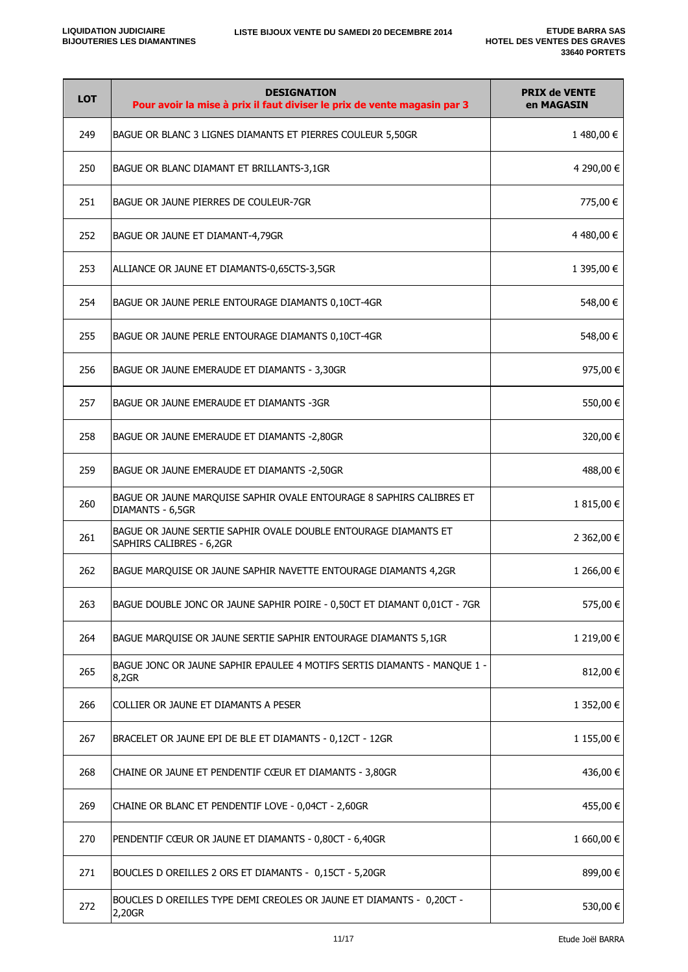| <b>LOT</b> | <b>DESIGNATION</b><br>Pour avoir la mise à prix il faut diviser le prix de vente magasin par 3 | <b>PRIX de VENTE</b><br>en MAGASIN |
|------------|------------------------------------------------------------------------------------------------|------------------------------------|
| 249        | BAGUE OR BLANC 3 LIGNES DIAMANTS ET PIERRES COULEUR 5,50GR                                     | 1480,00€                           |
| 250        | BAGUE OR BLANC DIAMANT ET BRILLANTS-3,1GR                                                      | 4 290,00 €                         |
| 251        | BAGUE OR JAUNE PIERRES DE COULEUR-7GR                                                          | 775,00 €                           |
| 252        | BAGUE OR JAUNE ET DIAMANT-4,79GR                                                               | 4 480,00 €                         |
| 253        | ALLIANCE OR JAUNE ET DIAMANTS-0,65CTS-3,5GR                                                    | 1 395,00 €                         |
| 254        | BAGUE OR JAUNE PERLE ENTOURAGE DIAMANTS 0,10CT-4GR                                             | 548,00 €                           |
| 255        | BAGUE OR JAUNE PERLE ENTOURAGE DIAMANTS 0,10CT-4GR                                             | 548,00 €                           |
| 256        | BAGUE OR JAUNE EMERAUDE ET DIAMANTS - 3,30GR                                                   | 975,00€                            |
| 257        | BAGUE OR JAUNE EMERAUDE ET DIAMANTS -3GR                                                       | 550,00 €                           |
| 258        | BAGUE OR JAUNE EMERAUDE ET DIAMANTS -2,80GR                                                    | 320,00€                            |
| 259        | BAGUE OR JAUNE EMERAUDE ET DIAMANTS -2,50GR                                                    | 488,00€                            |
| 260        | BAGUE OR JAUNE MARQUISE SAPHIR OVALE ENTOURAGE 8 SAPHIRS CALIBRES ET<br>DIAMANTS - 6,5GR       | 1815,00€                           |
| 261        | BAGUE OR JAUNE SERTIE SAPHIR OVALE DOUBLE ENTOURAGE DIAMANTS ET<br>SAPHIRS CALIBRES - 6,2GR    | 2 362,00 €                         |
| 262        | BAGUE MARQUISE OR JAUNE SAPHIR NAVETTE ENTOURAGE DIAMANTS 4,2GR                                | 1 266,00 €                         |
| 263        | BAGUE DOUBLE JONC OR JAUNE SAPHIR POIRE - 0,50CT ET DIAMANT 0,01CT - 7GR                       | 575,00 €                           |
| 264        | BAGUE MARQUISE OR JAUNE SERTIE SAPHIR ENTOURAGE DIAMANTS 5,1GR                                 | 1 219,00 €                         |
| 265        | BAGUE JONC OR JAUNE SAPHIR EPAULEE 4 MOTIFS SERTIS DIAMANTS - MANQUE 1 -<br>8,2GR              | 812,00€                            |
| 266        | COLLIER OR JAUNE ET DIAMANTS A PESER                                                           | 1 352,00 €                         |
| 267        | BRACELET OR JAUNE EPI DE BLE ET DIAMANTS - 0,12CT - 12GR                                       | 1 155,00 €                         |
| 268        | CHAINE OR JAUNE ET PENDENTIF CŒUR ET DIAMANTS - 3,80GR                                         | 436,00€                            |
| 269        | CHAINE OR BLANC ET PENDENTIF LOVE - 0,04CT - 2,60GR                                            | 455,00€                            |
| 270        | PENDENTIF CŒUR OR JAUNE ET DIAMANTS - 0,80CT - 6,40GR                                          | 1 660,00 $\in$                     |
| 271        | BOUCLES D OREILLES 2 ORS ET DIAMANTS - 0,15CT - 5,20GR                                         | 899,00€                            |
| 272        | BOUCLES D OREILLES TYPE DEMI CREOLES OR JAUNE ET DIAMANTS - 0,20CT -<br>2,20GR                 | 530,00€                            |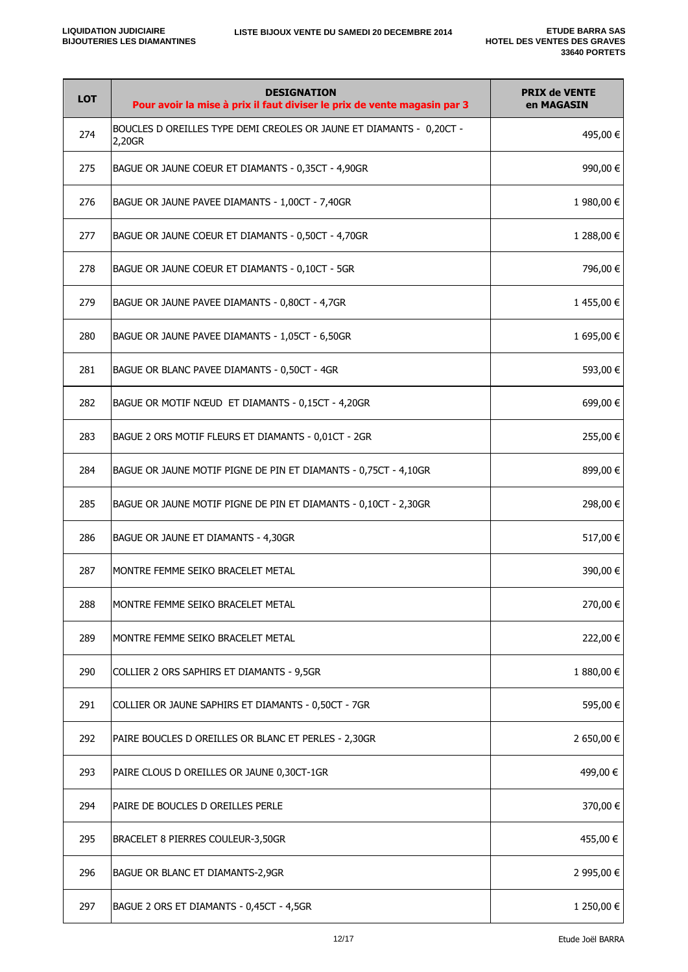| <b>LOT</b> | <b>DESIGNATION</b><br>Pour avoir la mise à prix il faut diviser le prix de vente magasin par 3 | <b>PRIX de VENTE</b><br>en MAGASIN |
|------------|------------------------------------------------------------------------------------------------|------------------------------------|
| 274        | BOUCLES D OREILLES TYPE DEMI CREOLES OR JAUNE ET DIAMANTS - 0,20CT -<br>2,20GR                 | 495,00 €                           |
| 275        | BAGUE OR JAUNE COEUR ET DIAMANTS - 0,35CT - 4,90GR                                             | 990,00€                            |
| 276        | BAGUE OR JAUNE PAVEE DIAMANTS - 1,00CT - 7,40GR                                                | 1 980,00 €                         |
| 277        | BAGUE OR JAUNE COEUR ET DIAMANTS - 0,50CT - 4,70GR                                             | 1 288,00 €                         |
| 278        | BAGUE OR JAUNE COEUR ET DIAMANTS - 0,10CT - 5GR                                                | 796,00€                            |
| 279        | BAGUE OR JAUNE PAVEE DIAMANTS - 0,80CT - 4,7GR                                                 | 1455,00€                           |
| 280        | BAGUE OR JAUNE PAVEE DIAMANTS - 1,05CT - 6,50GR                                                | 1 695,00 €                         |
| 281        | BAGUE OR BLANC PAVEE DIAMANTS - 0,50CT - 4GR                                                   | 593,00€                            |
| 282        | BAGUE OR MOTIF NŒUD ET DIAMANTS - 0,15CT - 4,20GR                                              | 699,00 €                           |
| 283        | BAGUE 2 ORS MOTIF FLEURS ET DIAMANTS - 0,01CT - 2GR                                            | 255,00 €                           |
| 284        | BAGUE OR JAUNE MOTIF PIGNE DE PIN ET DIAMANTS - 0,75CT - 4,10GR                                | 899,00€                            |
| 285        | BAGUE OR JAUNE MOTIF PIGNE DE PIN ET DIAMANTS - 0,10CT - 2,30GR                                | 298,00€                            |
| 286        | BAGUE OR JAUNE ET DIAMANTS - 4,30GR                                                            | 517,00 €                           |
| 287        | MONTRE FEMME SEIKO BRACELET METAL                                                              | 390,00€                            |
| 288        | MONTRE FEMME SEIKO BRACELET METAL                                                              | 270,00 €                           |
| 289        | MONTRE FEMME SEIKO BRACELET METAL                                                              | 222,00€                            |
| 290        | COLLIER 2 ORS SAPHIRS ET DIAMANTS - 9,5GR                                                      | 1 880,00 €                         |
| 291        | COLLIER OR JAUNE SAPHIRS ET DIAMANTS - 0,50CT - 7GR                                            | 595,00€                            |
| 292        | PAIRE BOUCLES D OREILLES OR BLANC ET PERLES - 2,30GR                                           | 2 650,00 €                         |
| 293        | PAIRE CLOUS D OREILLES OR JAUNE 0,30CT-1GR                                                     | 499,00 €                           |
| 294        | PAIRE DE BOUCLES D OREILLES PERLE                                                              | 370,00 €                           |
| 295        | BRACELET 8 PIERRES COULEUR-3,50GR                                                              | 455,00 €                           |
| 296        | BAGUE OR BLANC ET DIAMANTS-2,9GR                                                               | 2 995,00 €                         |
| 297        | BAGUE 2 ORS ET DIAMANTS - 0,45CT - 4,5GR                                                       | 1 250,00 €                         |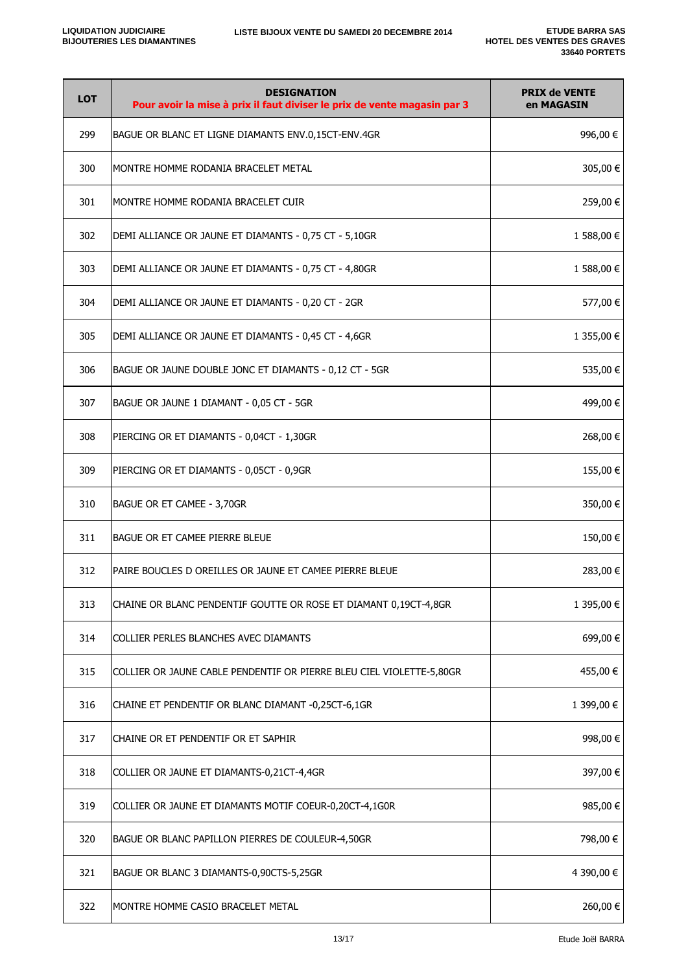| <b>LOT</b> | <b>DESIGNATION</b><br>Pour avoir la mise à prix il faut diviser le prix de vente magasin par 3 | <b>PRIX de VENTE</b><br>en MAGASIN |
|------------|------------------------------------------------------------------------------------------------|------------------------------------|
| 299        | BAGUE OR BLANC ET LIGNE DIAMANTS ENV.0,15CT-ENV.4GR                                            | 996,00€                            |
| 300        | MONTRE HOMME RODANIA BRACELET METAL                                                            | 305,00€                            |
| 301        | MONTRE HOMME RODANIA BRACELET CUIR                                                             | 259,00 €                           |
| 302        | DEMI ALLIANCE OR JAUNE ET DIAMANTS - 0,75 CT - 5,10GR                                          | 1 588,00 €                         |
| 303        | DEMI ALLIANCE OR JAUNE ET DIAMANTS - 0,75 CT - 4,80GR                                          | 1 588,00 €                         |
| 304        | DEMI ALLIANCE OR JAUNE ET DIAMANTS - 0,20 CT - 2GR                                             | 577,00 €                           |
| 305        | DEMI ALLIANCE OR JAUNE ET DIAMANTS - 0,45 CT - 4,6GR                                           | 1 355,00 €                         |
| 306        | BAGUE OR JAUNE DOUBLE JONC ET DIAMANTS - 0,12 CT - 5GR                                         | 535,00€                            |
| 307        | BAGUE OR JAUNE 1 DIAMANT - 0,05 CT - 5GR                                                       | 499,00 €                           |
| 308        | PIERCING OR ET DIAMANTS - 0,04CT - 1,30GR                                                      | 268,00 €                           |
| 309        | PIERCING OR ET DIAMANTS - 0,05CT - 0,9GR                                                       | 155,00€                            |
| 310        | BAGUE OR ET CAMEE - 3,70GR                                                                     | 350,00€                            |
| 311        | BAGUE OR ET CAMEE PIERRE BLEUE                                                                 | 150,00€                            |
| 312        | PAIRE BOUCLES D OREILLES OR JAUNE ET CAMEE PIERRE BLEUE                                        | 283,00 €                           |
| 313        | CHAINE OR BLANC PENDENTIF GOUTTE OR ROSE ET DIAMANT 0,19CT-4,8GR                               | 1 395,00 €                         |
| 314        | COLLIER PERLES BLANCHES AVEC DIAMANTS                                                          | 699,00€                            |
| 315        | COLLIER OR JAUNE CABLE PENDENTIF OR PIERRE BLEU CIEL VIOLETTE-5,80GR                           | 455,00 €                           |
| 316        | CHAINE ET PENDENTIF OR BLANC DIAMANT -0,25CT-6,1GR                                             | 1 399,00 €                         |
| 317        | CHAINE OR ET PENDENTIF OR ET SAPHIR                                                            | 998,00€                            |
| 318        | COLLIER OR JAUNE ET DIAMANTS-0,21CT-4,4GR                                                      | 397,00 €                           |
| 319        | COLLIER OR JAUNE ET DIAMANTS MOTIF COEUR-0,20CT-4,1G0R                                         | 985,00€                            |
| 320        | BAGUE OR BLANC PAPILLON PIERRES DE COULEUR-4,50GR                                              | 798,00 €                           |
| 321        | BAGUE OR BLANC 3 DIAMANTS-0,90CTS-5,25GR                                                       | 4 390,00 €                         |
| 322        | MONTRE HOMME CASIO BRACELET METAL                                                              | 260,00€                            |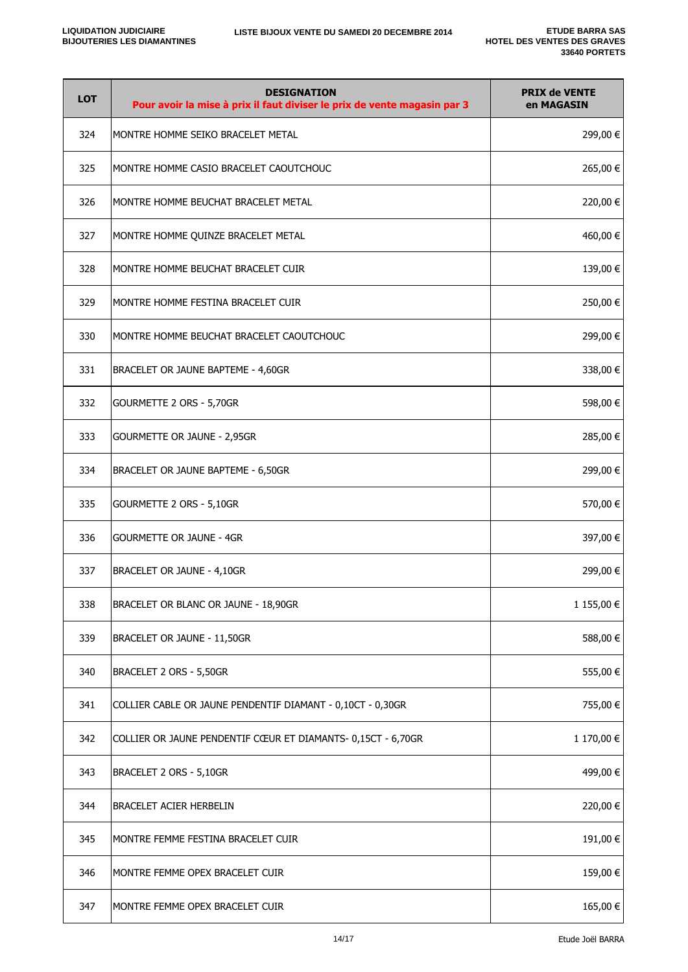| <b>LOT</b> | <b>DESIGNATION</b><br>Pour avoir la mise à prix il faut diviser le prix de vente magasin par 3 | <b>PRIX de VENTE</b><br>en MAGASIN |
|------------|------------------------------------------------------------------------------------------------|------------------------------------|
| 324        | MONTRE HOMME SEIKO BRACELET METAL                                                              | 299,00 €                           |
| 325        | MONTRE HOMME CASIO BRACELET CAOUTCHOUC                                                         | 265,00 €                           |
| 326        | MONTRE HOMME BEUCHAT BRACELET METAL                                                            | 220,00€                            |
| 327        | MONTRE HOMME QUINZE BRACELET METAL                                                             | 460,00 €                           |
| 328        | MONTRE HOMME BEUCHAT BRACELET CUIR                                                             | 139,00€                            |
| 329        | MONTRE HOMME FESTINA BRACELET CUIR                                                             | 250,00€                            |
| 330        | MONTRE HOMME BEUCHAT BRACELET CAOUTCHOUC                                                       | 299,00 €                           |
| 331        | BRACELET OR JAUNE BAPTEME - 4,60GR                                                             | 338,00 €                           |
| 332        | GOURMETTE 2 ORS - 5,70GR                                                                       | 598,00€                            |
| 333        | GOURMETTE OR JAUNE - 2,95GR                                                                    | 285,00 €                           |
| 334        | BRACELET OR JAUNE BAPTEME - 6,50GR                                                             | 299,00€                            |
| 335        | GOURMETTE 2 ORS - 5,10GR                                                                       | 570,00€                            |
| 336        | <b>GOURMETTE OR JAUNE - 4GR</b>                                                                | 397,00 €                           |
| 337        | BRACELET OR JAUNE - 4,10GR                                                                     | 299,00 €                           |
| 338        | BRACELET OR BLANC OR JAUNE - 18,90GR                                                           | 1 155,00 €                         |
| 339        | BRACELET OR JAUNE - 11,50GR                                                                    | 588,00€                            |
| 340        | BRACELET 2 ORS - 5,50GR                                                                        | 555,00€                            |
| 341        | COLLIER CABLE OR JAUNE PENDENTIF DIAMANT - 0,10CT - 0,30GR                                     | 755,00 €                           |
| 342        | COLLIER OR JAUNE PENDENTIF CŒUR ET DIAMANTS- 0,15CT - 6,70GR                                   | 1 170,00 €                         |
| 343        | BRACELET 2 ORS - 5,10GR                                                                        | 499,00 €                           |
| 344        | BRACELET ACIER HERBELIN                                                                        | 220,00€                            |
| 345        | MONTRE FEMME FESTINA BRACELET CUIR                                                             | 191,00€                            |
| 346        | MONTRE FEMME OPEX BRACELET CUIR                                                                | 159,00€                            |
| 347        | MONTRE FEMME OPEX BRACELET CUIR                                                                | 165,00€                            |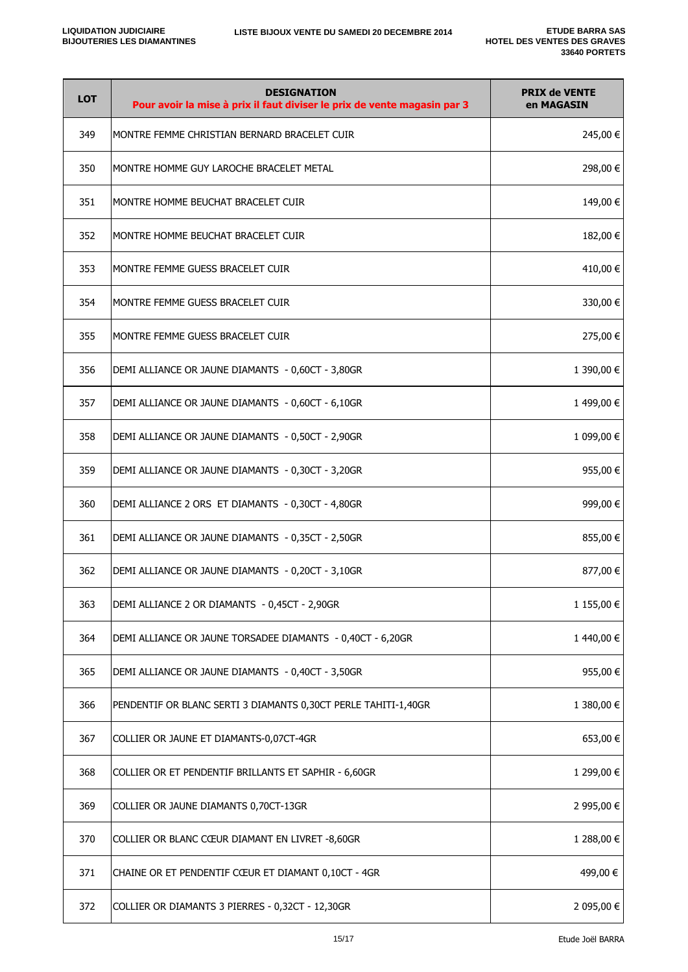| <b>LOT</b> | <b>DESIGNATION</b><br>Pour avoir la mise à prix il faut diviser le prix de vente magasin par 3 | <b>PRIX de VENTE</b><br>en MAGASIN |
|------------|------------------------------------------------------------------------------------------------|------------------------------------|
| 349        | MONTRE FEMME CHRISTIAN BERNARD BRACELET CUIR                                                   | 245,00€                            |
| 350        | MONTRE HOMME GUY LAROCHE BRACELET METAL                                                        | 298,00€                            |
| 351        | MONTRE HOMME BEUCHAT BRACELET CUIR                                                             | 149,00€                            |
| 352        | MONTRE HOMME BEUCHAT BRACELET CUIR                                                             | 182,00 €                           |
| 353        | MONTRE FEMME GUESS BRACELET CUIR                                                               | 410,00€                            |
| 354        | MONTRE FEMME GUESS BRACELET CUIR                                                               | 330,00€                            |
| 355        | MONTRE FEMME GUESS BRACELET CUIR                                                               | 275,00 €                           |
| 356        | DEMI ALLIANCE OR JAUNE DIAMANTS - 0,60CT - 3,80GR                                              | 1 390,00 €                         |
| 357        | DEMI ALLIANCE OR JAUNE DIAMANTS - 0,60CT - 6,10GR                                              | 1499,00€                           |
| 358        | DEMI ALLIANCE OR JAUNE DIAMANTS - 0,50CT - 2,90GR                                              | 1 099,00 €                         |
| 359        | DEMI ALLIANCE OR JAUNE DIAMANTS - 0,30CT - 3,20GR                                              | 955,00€                            |
| 360        | DEMI ALLIANCE 2 ORS ET DIAMANTS - 0,30CT - 4,80GR                                              | 999,00 €                           |
| 361        | DEMI ALLIANCE OR JAUNE DIAMANTS - 0,35CT - 2,50GR                                              | 855,00€                            |
| 362        | DEMI ALLIANCE OR JAUNE DIAMANTS - 0,20CT - 3,10GR                                              | 877,00€                            |
| 363        | DEMI ALLIANCE 2 OR DIAMANTS - 0,45CT - 2,90GR                                                  | 1 155,00 €                         |
| 364        | DEMI ALLIANCE OR JAUNE TORSADEE DIAMANTS - 0,40CT - 6,20GR                                     | 1440,00€                           |
| 365        | DEMI ALLIANCE OR JAUNE DIAMANTS - 0,40CT - 3,50GR                                              | 955,00€                            |
| 366        | PENDENTIF OR BLANC SERTI 3 DIAMANTS 0,30CT PERLE TAHITI-1,40GR                                 | 1 380,00 €                         |
| 367        | COLLIER OR JAUNE ET DIAMANTS-0,07CT-4GR                                                        | 653,00 €                           |
| 368        | COLLIER OR ET PENDENTIF BRILLANTS ET SAPHIR - 6,60GR                                           | 1 299,00 €                         |
| 369        | COLLIER OR JAUNE DIAMANTS 0,70CT-13GR                                                          | 2 995,00 €                         |
| 370        | COLLIER OR BLANC CŒUR DIAMANT EN LIVRET -8,60GR                                                | 1 288,00 €                         |
| 371        | CHAINE OR ET PENDENTIF CŒUR ET DIAMANT 0,10CT - 4GR                                            | 499,00 €                           |
| 372        | COLLIER OR DIAMANTS 3 PIERRES - 0,32CT - 12,30GR                                               | 2 095,00 €                         |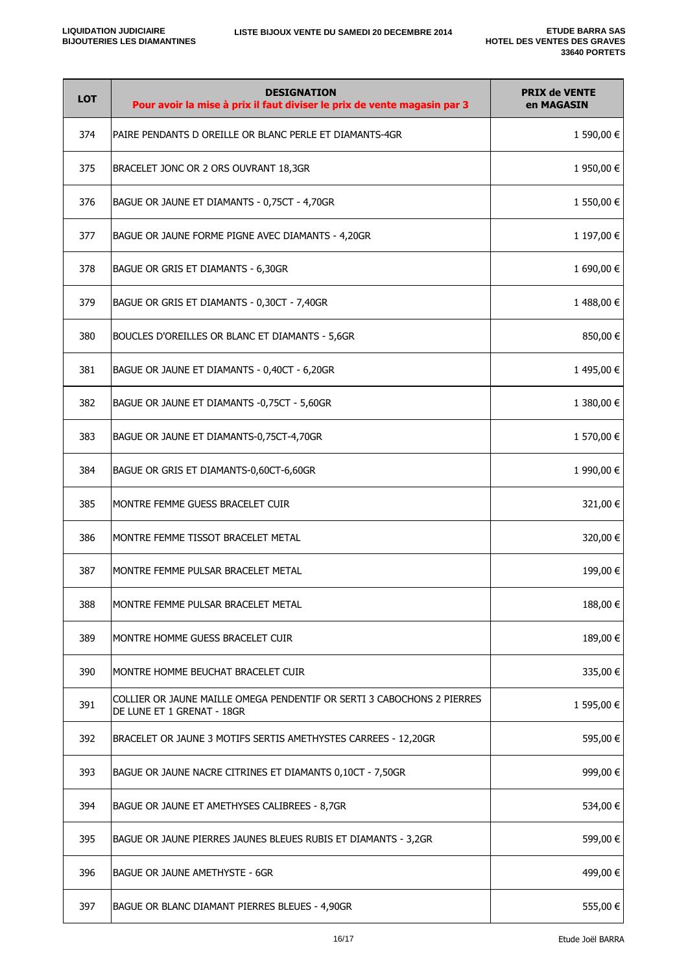| <b>LOT</b> | <b>DESIGNATION</b><br>Pour avoir la mise à prix il faut diviser le prix de vente magasin par 3       | <b>PRIX de VENTE</b><br>en MAGASIN |
|------------|------------------------------------------------------------------------------------------------------|------------------------------------|
| 374        | PAIRE PENDANTS D OREILLE OR BLANC PERLE ET DIAMANTS-4GR                                              | 1 590,00 €                         |
| 375        | BRACELET JONC OR 2 ORS OUVRANT 18,3GR                                                                | 1 950,00 €                         |
| 376        | BAGUE OR JAUNE ET DIAMANTS - 0,75CT - 4,70GR                                                         | 1 550,00 €                         |
| 377        | BAGUE OR JAUNE FORME PIGNE AVEC DIAMANTS - 4,20GR                                                    | 1 197,00 €                         |
| 378        | BAGUE OR GRIS ET DIAMANTS - 6,30GR                                                                   | 1 690,00 €                         |
| 379        | BAGUE OR GRIS ET DIAMANTS - 0,30CT - 7,40GR                                                          | 1488,00€                           |
| 380        | BOUCLES D'OREILLES OR BLANC ET DIAMANTS - 5,6GR                                                      | 850,00 €                           |
| 381        | BAGUE OR JAUNE ET DIAMANTS - 0,40CT - 6,20GR                                                         | 1495,00€                           |
| 382        | BAGUE OR JAUNE ET DIAMANTS -0,75CT - 5,60GR                                                          | 1 380,00 €                         |
| 383        | BAGUE OR JAUNE ET DIAMANTS-0,75CT-4,70GR                                                             | 1 570,00 €                         |
| 384        | BAGUE OR GRIS ET DIAMANTS-0,60CT-6,60GR                                                              | 1 990,00 €                         |
| 385        | MONTRE FEMME GUESS BRACELET CUIR                                                                     | 321,00 €                           |
| 386        | MONTRE FEMME TISSOT BRACELET METAL                                                                   | 320,00 €                           |
| 387        | MONTRE FEMME PULSAR BRACELET METAL                                                                   | 199,00€                            |
| 388        | MONTRE FEMME PULSAR BRACELET METAL                                                                   | 188,00€                            |
| 389        | MONTRE HOMME GUESS BRACELET CUIR                                                                     | 189,00 €                           |
| 390        | MONTRE HOMME BEUCHAT BRACELET CUIR                                                                   | 335,00 €                           |
| 391        | COLLIER OR JAUNE MAILLE OMEGA PENDENTIF OR SERTI 3 CABOCHONS 2 PIERRES<br>DE LUNE ET 1 GRENAT - 18GR | 1 595,00 €                         |
| 392        | BRACELET OR JAUNE 3 MOTIFS SERTIS AMETHYSTES CARREES - 12,20GR                                       | 595,00€                            |
| 393        | BAGUE OR JAUNE NACRE CITRINES ET DIAMANTS 0,10CT - 7,50GR                                            | 999,00 €                           |
| 394        | BAGUE OR JAUNE ET AMETHYSES CALIBREES - 8,7GR                                                        | 534,00 €                           |
| 395        | BAGUE OR JAUNE PIERRES JAUNES BLEUES RUBIS ET DIAMANTS - 3,2GR                                       | 599,00€                            |
| 396        | BAGUE OR JAUNE AMETHYSTE - 6GR                                                                       | 499,00 €                           |
| 397        | BAGUE OR BLANC DIAMANT PIERRES BLEUES - 4,90GR                                                       | 555,00€                            |